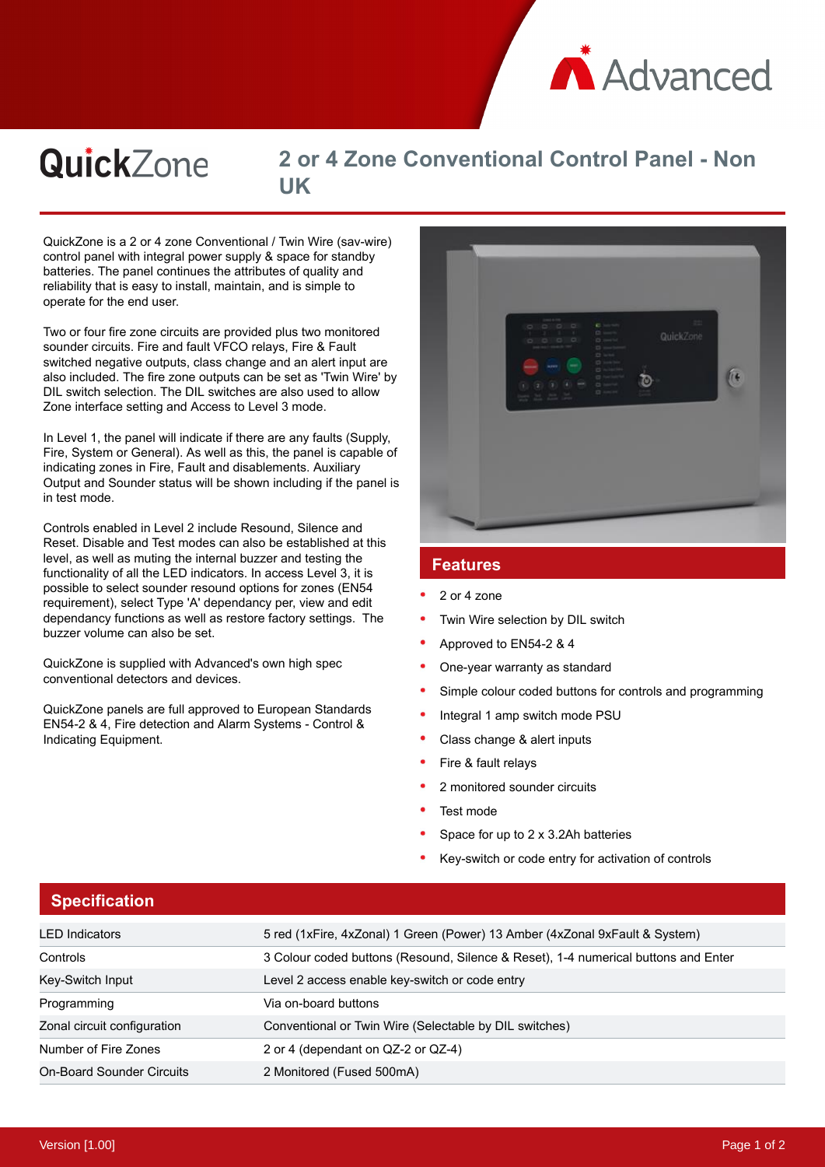

#### **QuickZone 2 or 4 Zone Conventional Control Panel - Non UK**

QuickZone is a 2 or 4 zone Conventional / Twin Wire (sav-wire) control panel with integral power supply & space for standby batteries. The panel continues the attributes of quality and reliability that is easy to install, maintain, and is simple to operate for the end user.

Two or four fire zone circuits are provided plus two monitored sounder circuits. Fire and fault VFCO relays, Fire & Fault switched negative outputs, class change and an alert input are also included. The fire zone outputs can be set as 'Twin Wire' by DIL switch selection. The DIL switches are also used to allow Zone interface setting and Access to Level 3 mode.

In Level 1, the panel will indicate if there are any faults (Supply, Fire, System or General). As well as this, the panel is capable of indicating zones in Fire, Fault and disablements. Auxiliary Output and Sounder status will be shown including if the panel is in test mode.

Controls enabled in Level 2 include Resound, Silence and Reset. Disable and Test modes can also be established at this level, as well as muting the internal buzzer and testing the functionality of all the LED indicators. In access Level 3, it is possible to select sounder resound options for zones (EN54 requirement), select Type 'A' dependancy per, view and edit dependancy functions as well as restore factory settings. The buzzer volume can also be set.

QuickZone is supplied with Advanced's own high spec conventional detectors and devices.

QuickZone panels are full approved to European Standards EN54-2 & 4, Fire detection and Alarm Systems - Control & Indicating Equipment.



#### **Features**

- 2 or 4 zone
- Twin Wire selection by DIL switch
- Approved to EN54-2 & 4
- One-year warranty as standard
- Simple colour coded buttons for controls and programming
- Integral 1 amp switch mode PSU
- Class change & alert inputs
- Fire & fault relays
- 2 monitored sounder circuits
- Test mode
- Space for up to 2 x 3.2Ah batteries
- Key-switch or code entry for activation of controls

| <b>Specification</b>             |                                                                                    |
|----------------------------------|------------------------------------------------------------------------------------|
| <b>LED</b> Indicators            | 5 red (1xFire, 4xZonal) 1 Green (Power) 13 Amber (4xZonal 9xFault & System)        |
| Controls                         | 3 Colour coded buttons (Resound, Silence & Reset), 1-4 numerical buttons and Enter |
| Key-Switch Input                 | Level 2 access enable key-switch or code entry                                     |
| Programming                      | Via on-board buttons                                                               |
| Zonal circuit configuration      | Conventional or Twin Wire (Selectable by DIL switches)                             |
| Number of Fire Zones             | 2 or 4 (dependant on QZ-2 or QZ-4)                                                 |
| <b>On-Board Sounder Circuits</b> | 2 Monitored (Fused 500mA)                                                          |

## **Specification**